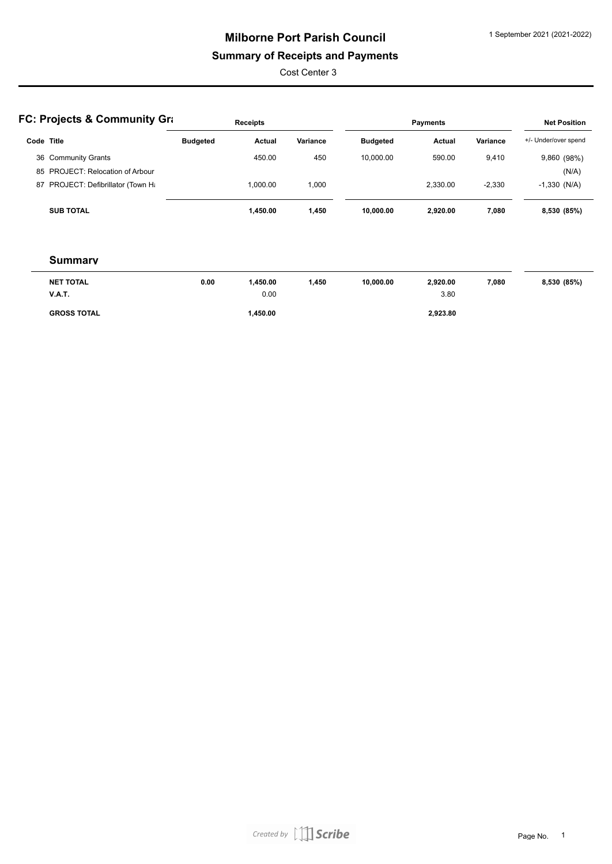### **Summary of Receipts and Payments**

Cost Center 3

|            | <b>FC: Projects &amp; Community Gra</b> |                 | <b>Receipts</b> |          |                 | <b>Payments</b> |          | <b>Net Position</b>  |
|------------|-----------------------------------------|-----------------|-----------------|----------|-----------------|-----------------|----------|----------------------|
| Code Title |                                         | <b>Budgeted</b> | Actual          | Variance | <b>Budgeted</b> | Actual          | Variance | +/- Under/over spend |
|            | 36 Community Grants                     |                 | 450.00          | 450      | 10.000.00       | 590.00          | 9,410    | 9,860 (98%)          |
|            | 85 PROJECT: Relocation of Arbour        |                 |                 |          |                 |                 |          | (N/A)                |
|            | 87 PROJECT: Defibrillator (Town Ha      |                 | 1.000.00        | 000, ا   |                 | 2.330.00        | $-2,330$ | $-1,330$ (N/A)       |
|            | <b>SUB TOTAL</b>                        |                 | 1.450.00        | 1,450    | 10.000.00       | 2.920.00        | 7.080    | 8,530 (85%)          |

#### **Summary**

| <b>NET TOTAL</b>   | 0.00 | .450.00 | 450, | 10.000.00 | 2.920.00 | 7,080 | 8,530 (85%) |
|--------------------|------|---------|------|-----------|----------|-------|-------------|
| <b>V.A.T.</b>      |      | 0.00    |      |           | 3.80     |       |             |
| <b>GROSS TOTAL</b> |      | .450.00 |      |           | 2,923.80 |       |             |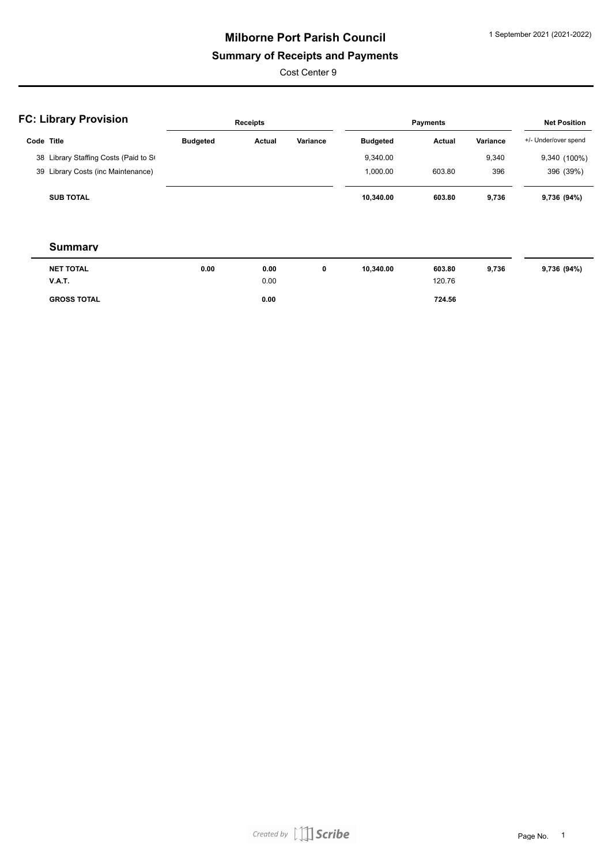### **Summary of Receipts and Payments**

Cost Center 9

|            | <b>FC: Library Provision</b>          |                 | Receipts |              |                 | <b>Payments</b> |              | <b>Net Position</b>                        |
|------------|---------------------------------------|-----------------|----------|--------------|-----------------|-----------------|--------------|--------------------------------------------|
| Code Title |                                       | <b>Budgeted</b> | Actual   | Variance     | <b>Budgeted</b> | Actual          | Variance     | +/- Under/over spend                       |
|            | 38 Library Staffing Costs (Paid to St |                 |          |              | 9,340.00        |                 | 9,340        | 9,340 (100%)                               |
|            | 39 Library Costs (inc Maintenance)    |                 |          |              | 1,000.00        | 603.80          | 396          | 396 (39%)                                  |
|            | <b>SUB TOTAL</b>                      |                 |          |              | 10,340.00       | 603.80          | 9,736        | 9,736 (94%)                                |
|            | <b>Summary</b>                        |                 |          |              |                 |                 |              |                                            |
|            | NET TOTAL                             | n nn            | n nn     | $\mathbf{a}$ | 10.340.00       | <b>603.80</b>   | <b>Q 736</b> | $Q$ 736 ( $Q$ $A$ <sup>0</sup> $\Lambda$ ) |

| <b>NET TOTAL</b>   | 0.00 | 0.00 | 10.340.00 | 603.80 | 9.736 | 9,736 (94%) |
|--------------------|------|------|-----------|--------|-------|-------------|
| <b>V.A.T.</b>      |      | 0.00 |           | 120.76 |       |             |
| <b>GROSS TOTAL</b> |      | 0.00 |           | 724.56 |       |             |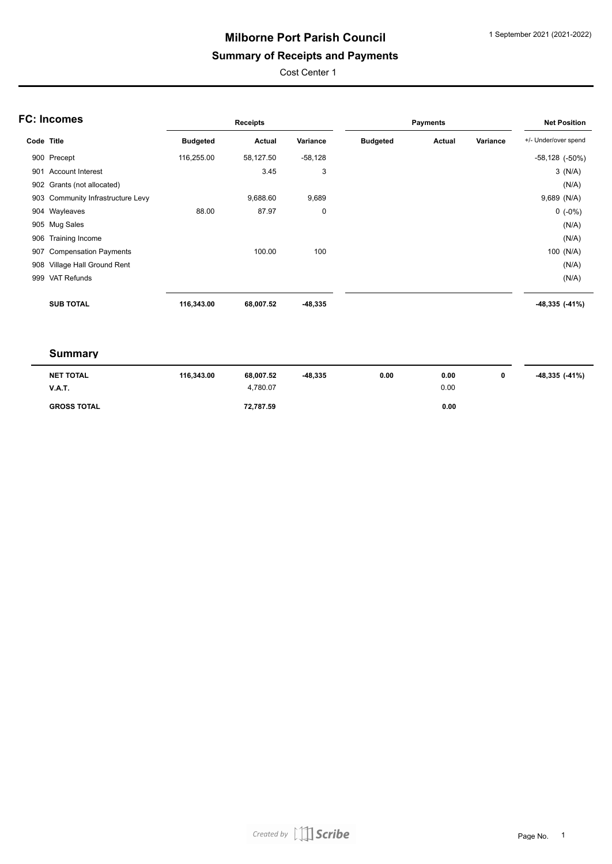### **Summary of Receipts and Payments**

Cost Center 1

|            | <b>FC: Incomes</b>                |                 | Receipts  |           |                 | <b>Payments</b> |          | <b>Net Position</b>  |
|------------|-----------------------------------|-----------------|-----------|-----------|-----------------|-----------------|----------|----------------------|
| Code Title |                                   | <b>Budgeted</b> | Actual    | Variance  | <b>Budgeted</b> | Actual          | Variance | +/- Under/over spend |
|            | 900 Precept                       | 116,255.00      | 58,127.50 | $-58,128$ |                 |                 |          | $-58,128$ $(-50\%)$  |
| 901        | <b>Account Interest</b>           |                 | 3.45      | 3         |                 |                 |          | 3(N/A)               |
|            | 902 Grants (not allocated)        |                 |           |           |                 |                 |          | (N/A)                |
|            | 903 Community Infrastructure Levy |                 | 9,688.60  | 9,689     |                 |                 |          | 9,689 (N/A)          |
|            | 904 Wayleaves                     | 88.00           | 87.97     | 0         |                 |                 |          | $0(.0\%)$            |
|            | 905 Mug Sales                     |                 |           |           |                 |                 |          | (N/A)                |
| 906        | Training Income                   |                 |           |           |                 |                 |          | (N/A)                |
| 907        | <b>Compensation Payments</b>      |                 | 100.00    | 100       |                 |                 |          | 100 (N/A)            |
| 908        | Village Hall Ground Rent          |                 |           |           |                 |                 |          | (N/A)                |
| 999        | <b>VAT Refunds</b>                |                 |           |           |                 |                 |          | (N/A)                |
|            | <b>SUB TOTAL</b>                  | 116,343.00      | 68,007.52 | $-48,335$ |                 |                 |          | $-48,335$ $(-41%)$   |

#### **Summary**

| NET TOTAL          | 116.343.00 | 68.007.52 | -48,335 | 0.00 | 0.00 | -48,335 (-41%) |
|--------------------|------------|-----------|---------|------|------|----------------|
| <b>V.A.T.</b>      |            | 4.780.07  |         |      | 0.00 |                |
| <b>GROSS TOTAL</b> |            | 72,787.59 |         |      | 0.00 |                |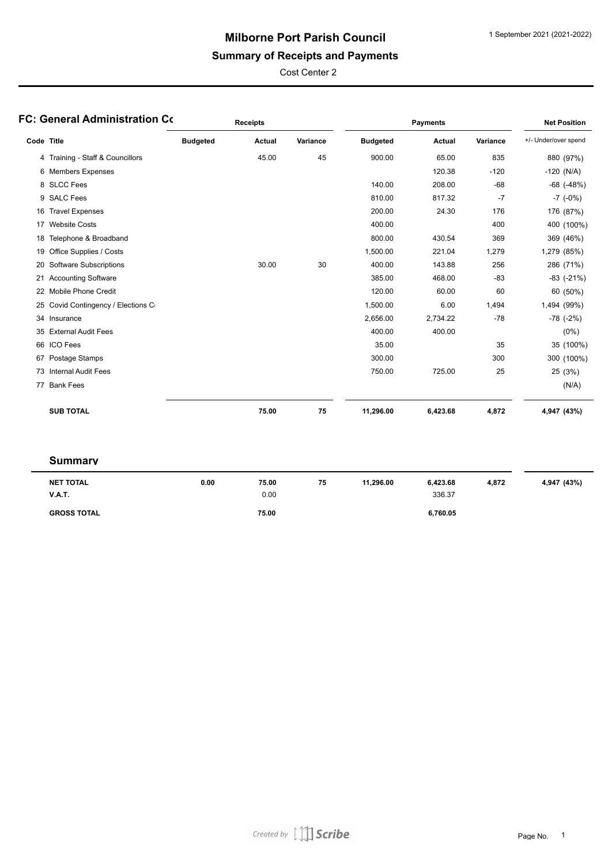### **Summary of Receipts and Payments**

Cost Center 2

|            | FC: General Administration Co    |                 | <b>Receipts</b> |          |                 | <b>Payments</b> |          | <b>Net Position</b>  |
|------------|----------------------------------|-----------------|-----------------|----------|-----------------|-----------------|----------|----------------------|
| Code Title |                                  | <b>Budgeted</b> | <b>Actual</b>   | Variance | <b>Budgeted</b> | <b>Actual</b>   | Variance | +/- Under/over spend |
|            | 4 Training - Staff & Councillors |                 | 45.00           | 45       | 900.00          | 65.00           | 835      | 880 (97%)            |
|            | 6 Members Expenses               |                 |                 |          |                 | 120.38          | $-120$   | $-120$ (N/A)         |
|            | 8 SLCC Fees                      |                 |                 |          | 140.00          | 208.00          | $-68$    | $-68$ $(-48%)$       |
|            | 9 SALC Fees                      |                 |                 |          | 810.00          | 817.32          | $-7$     | $-7$ $(-0\%)$        |
| 16         | <b>Travel Expenses</b>           |                 |                 |          | 200.00          | 24.30           | 176      | 176 (87%)            |
|            | 17 Website Costs                 |                 |                 |          | 400.00          |                 | 400      | 400 (100%)           |
| 18         | Telephone & Broadband            |                 |                 |          | 800.00          | 430.54          | 369      | 369 (46%)            |
| 19         | Office Supplies / Costs          |                 |                 |          | 1,500.00        | 221.04          | 1,279    | 1,279 (85%)          |
| 20         | <b>Software Subscriptions</b>    |                 | 30.00           | 30       | 400.00          | 143.88          | 256      | 286 (71%)            |
|            | 21 Accounting Software           |                 |                 |          | 385.00          | 468.00          | $-83$    | $-83$ $(-21%)$       |
| 22         | <b>Mobile Phone Credit</b>       |                 |                 |          | 120.00          | 60.00           | 60       | 60 (50%)             |
| 25         | Covid Contingency / Elections C  |                 |                 |          | 1,500.00        | 6.00            | 1,494    | 1,494 (99%)          |
|            | 34 Insurance                     |                 |                 |          | 2,656.00        | 2,734.22        | $-78$    | $-78$ $(-2%)$        |
| 35         | <b>External Audit Fees</b>       |                 |                 |          | 400.00          | 400.00          |          | $(0\%)$              |
|            | 66 ICO Fees                      |                 |                 |          | 35.00           |                 | 35       | 35 (100%)            |
| 67         | Postage Stamps                   |                 |                 |          | 300.00          |                 | 300      | 300 (100%)           |
|            | 73 Internal Audit Fees           |                 |                 |          | 750.00          | 725.00          | 25       | 25 (3%)              |
|            | 77 Bank Fees                     |                 |                 |          |                 |                 |          | (N/A)                |
|            | <b>SUB TOTAL</b>                 |                 | 75.00           | 75       | 11,296.00       | 6,423.68        | 4,872    | 4,947 (43%)          |

#### **Summary**

| NET TOTAL<br><b>V.A.T.</b> | 0.00 | 75.00<br>0.00 | 75 | 11,296.00 | 6,423.68<br>336.37 | 4,872 | 4,947 (43%) |
|----------------------------|------|---------------|----|-----------|--------------------|-------|-------------|
| <b>GROSS TOTAL</b>         |      | 75.00         |    |           | 6,760.05           |       |             |